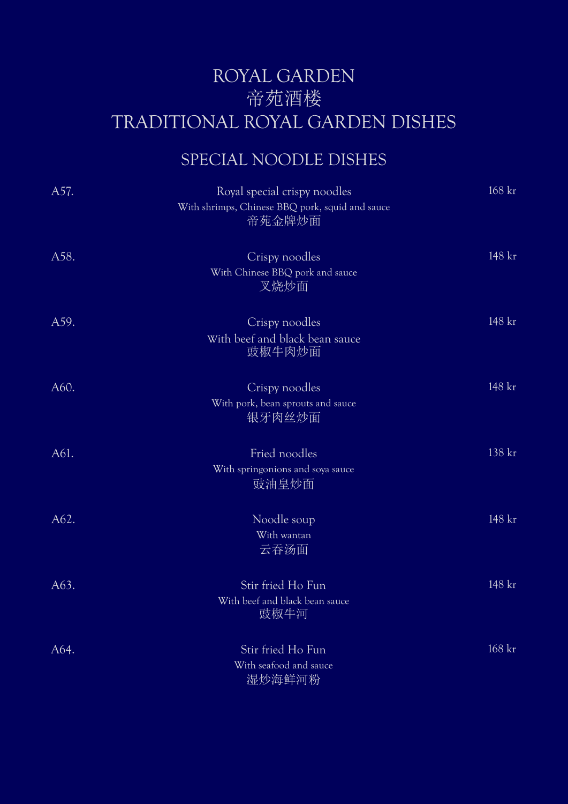### ROYAL GARDEN 帝苑酒楼 TRADITIONAL ROYAL GARDEN DISHES

### SPECIAL NOODLE DISHES

| A57. | Royal special crispy noodles                                  | $168$ kr |
|------|---------------------------------------------------------------|----------|
|      | With shrimps, Chinese BBQ pork, squid and sauce<br>帝苑金牌炒面     |          |
| A58. | Crispy noodles<br>With Chinese BBQ pork and sauce<br>叉烧炒面     | 148 kr   |
| A59. | Crispy noodles<br>With beef and black bean sauce<br>豉椒牛肉炒面    | 148 kr   |
| A60. | Crispy noodles<br>With pork, bean sprouts and sauce<br>银牙肉丝炒面 | 148 kr   |
| A61. | Fried noodles<br>With springonions and soya sauce<br>豉油皇炒面    | 138 kr   |
| A62. | Noodle soup<br>With wantan<br>云吞汤面                            | 148 kr   |
| A63. | Stir fried Ho Fun<br>With beef and black bean sauce<br>豉椒牛河   | 148 kr   |
| A64. | Stir fried Ho Fun<br>With seafood and sauce<br>湿炒海鲜河粉         | 168 kr   |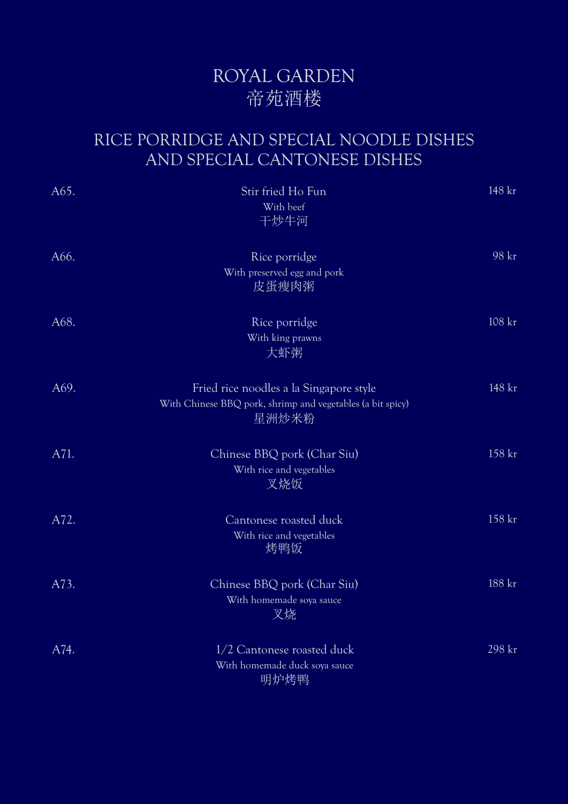### ROYAL GARDEN 帝苑酒楼

#### RICE PORRIDGE AND SPECIAL NOODLE DISHES AND SPECIAL CANTONESE DISHES

| A65. | Stir fried Ho Fun                                                                                              | 148 kr |
|------|----------------------------------------------------------------------------------------------------------------|--------|
|      | With beef<br>干炒牛河                                                                                              |        |
| A66. | Rice porridge<br>With preserved egg and pork<br>皮蛋瘦肉粥                                                          | 98 kr  |
| A68. | Rice porridge<br>With king prawns<br>大虾粥                                                                       | 108 kr |
| A69. | Fried rice noodles a la Singapore style<br>With Chinese BBQ pork, shrimp and vegetables (a bit spicy)<br>星洲炒米粉 | 148 kr |
| A71. | Chinese BBQ pork (Char Siu)<br>With rice and vegetables<br>叉烧饭                                                 | 158 kr |
| A72. | Cantonese roasted duck<br>With rice and vegetables<br>烤鸭饭                                                      | 158 kr |
| A73. | Chinese BBQ pork (Char Siu)<br>With homemade soya sauce<br>叉烧                                                  | 188 kr |
| A74. | 1/2 Cantonese roasted duck<br>With homemade duck soya sauce<br>明炉烤鸭                                            | 298 kr |